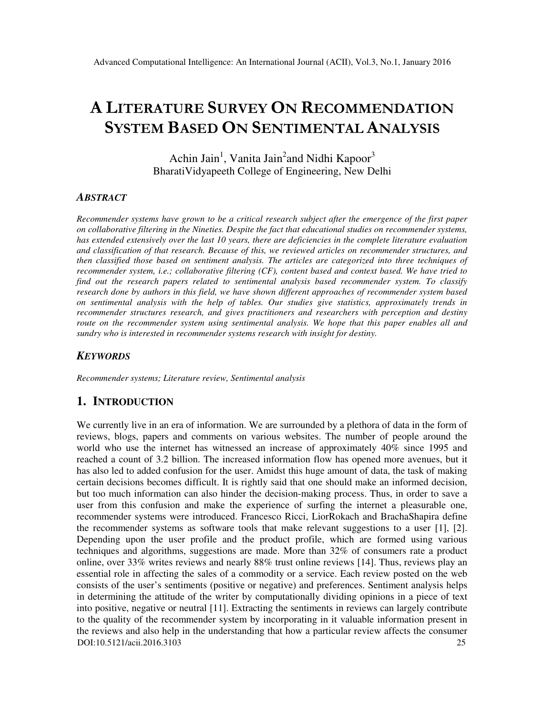# A LITERATURE SURVEY ON RECOMMENDATION SYSTEM BASED ON SENTIMENTAL ANALYSIS

Achin Jain<sup>1</sup>, Vanita Jain<sup>2</sup>and Nidhi Kapoor<sup>3</sup> BharatiVidyapeeth College of Engineering, New Delhi

#### *ABSTRACT*

*Recommender systems have grown to be a critical research subject after the emergence of the first paper on collaborative filtering in the Nineties. Despite the fact that educational studies on recommender systems, has extended extensively over the last 10 years, there are deficiencies in the complete literature evaluation and classification of that research. Because of this, we reviewed articles on recommender structures, and then classified those based on sentiment analysis. The articles are categorized into three techniques of recommender system, i.e.; collaborative filtering (CF), content based and context based. We have tried to find out the research papers related to sentimental analysis based recommender system. To classify research done by authors in this field, we have shown different approaches of recommender system based on sentimental analysis with the help of tables. Our studies give statistics, approximately trends in recommender structures research, and gives practitioners and researchers with perception and destiny route on the recommender system using sentimental analysis. We hope that this paper enables all and sundry who is interested in recommender systems research with insight for destiny.*

#### *KEYWORDS*

*Recommender systems; Literature review, Sentimental analysis*

#### **1. INTRODUCTION**

DOI:10.5121/acii.2016.3103 25 We currently live in an era of information. We are surrounded by a plethora of data in the form of reviews, blogs, papers and comments on various websites. The number of people around the world who use the internet has witnessed an increase of approximately 40% since 1995 and reached a count of 3.2 billion. The increased information flow has opened more avenues, but it has also led to added confusion for the user. Amidst this huge amount of data, the task of making certain decisions becomes difficult. It is rightly said that one should make an informed decision, but too much information can also hinder the decision-making process. Thus, in order to save a user from this confusion and make the experience of surfing the internet a pleasurable one, recommender systems were introduced. Francesco Ricci, LiorRokach and BrachaShapira define the recommender systems as software tools that make relevant suggestions to a user [1], [2]. Depending upon the user profile and the product profile, which are formed using various techniques and algorithms, suggestions are made. More than 32% of consumers rate a product online, over 33% writes reviews and nearly 88% trust online reviews [14]. Thus, reviews play an essential role in affecting the sales of a commodity or a service. Each review posted on the web consists of the user's sentiments (positive or negative) and preferences. Sentiment analysis helps in determining the attitude of the writer by computationally dividing opinions in a piece of text into positive, negative or neutral [11]. Extracting the sentiments in reviews can largely contribute to the quality of the recommender system by incorporating in it valuable information present in the reviews and also help in the understanding that how a particular review affects the consumer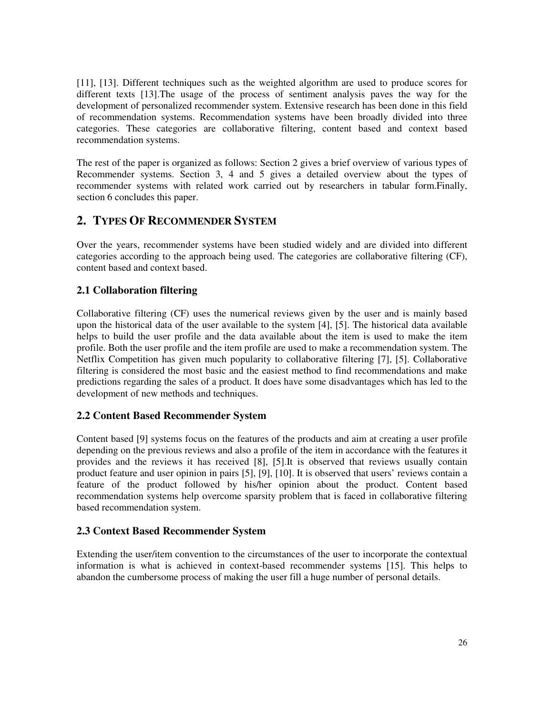[11], [13]. Different techniques such as the weighted algorithm are used to produce scores for different texts [13].The usage of the process of sentiment analysis paves the way for the development of personalized recommender system. Extensive research has been done in this field of recommendation systems. Recommendation systems have been broadly divided into three categories. These categories are collaborative filtering, content based and context based recommendation systems.

The rest of the paper is organized as follows: Section 2 gives a brief overview of various types of Recommender systems. Section 3, 4 and 5 gives a detailed overview about the types of recommender systems with related work carried out by researchers in tabular form.Finally, section 6 concludes this paper.

# **2. TYPES OF RECOMMENDER SYSTEM**

Over the years, recommender systems have been studied widely and are divided into different categories according to the approach being used. The categories are collaborative filtering (CF), content based and context based.

## **2.1 Collaboration filtering**

Collaborative filtering (CF) uses the numerical reviews given by the user and is mainly based upon the historical data of the user available to the system [4], [5]. The historical data available helps to build the user profile and the data available about the item is used to make the item profile. Both the user profile and the item profile are used to make a recommendation system. The Netflix Competition has given much popularity to collaborative filtering [7], [5]. Collaborative filtering is considered the most basic and the easiest method to find recommendations and make predictions regarding the sales of a product. It does have some disadvantages which has led to the development of new methods and techniques.

## **2.2 Content Based Recommender System**

Content based [9] systems focus on the features of the products and aim at creating a user profile depending on the previous reviews and also a profile of the item in accordance with the features it provides and the reviews it has received [8], [5].It is observed that reviews usually contain product feature and user opinion in pairs [5], [9], [10]. It is observed that users' reviews contain a feature of the product followed by his/her opinion about the product. Content based recommendation systems help overcome sparsity problem that is faced in collaborative filtering based recommendation system.

## **2.3 Context Based Recommender System**

Extending the user/item convention to the circumstances of the user to incorporate the contextual information is what is achieved in context-based recommender systems [15]. This helps to abandon the cumbersome process of making the user fill a huge number of personal details.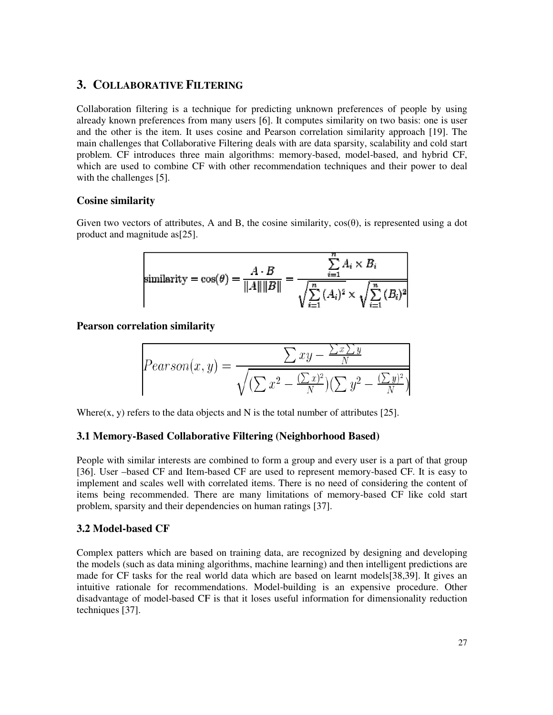# **3. COLLABORATIVE FILTERING**

Collaboration filtering is a technique for predicting unknown preferences of people by using Collaboration filtering is a technique for predicting unknown preferences of people by using already known preferences from many users [6]. It computes similarity on two basis: one is user and the other is the item. It uses cosine and Pearson correlation similarity approach [19]. The main challenges that Collaborative Filtering deals with are data sparsity, scalability and cold start main challenges that Collaborative Filtering deals with are data sparsity, scalability and cold start<br>problem. CF introduces three main algorithms: memory-based, model-based, and hybrid CF, which are used to combine CF with other recommendation techniques and their power to deal with the challenges [5]. and Pearson correlation similarity approach [19]. The<br>ng deals with are data sparsity, scalability and cold start<br>orithms: memory-based, model-based, and hybrid CF,<br>r recommendation techniques and their power to deal<br> $\frac{$ 

#### **Cosine similarity**

Given two vectors of attributes, A and B, the cosine similarity,  $cos(\theta)$ , is represented using a dot product and magnitude as[25].

$$
\text{similarity} = \cos(\theta) = \frac{A \cdot B}{\|A\| \|B\|} = \frac{\sum_{i=1}^{n} A_i \times B_i}{\sqrt{\sum_{i=1}^{n} (A_i)^2} \times \sqrt{\sum_{i=1}^{n} (B_i)^2}}
$$

**Pearson correlation similarity**

$$
Pearson(x, y) = \frac{\sum xy - \frac{\sum x \sum y}{N}}{\sqrt{(\sum x^2 - \frac{(\sum x)^2}{N})(\sum y^2 - \frac{(\sum y)^2}{N})}}
$$

Where $(x, y)$  refers to the data objects and N is the total number of attributes [25].

## **3.1 Memory-Based Collaborative Filtering (Neighborhood Based)**

People with similar interests are combined to form a group and every user is a part of that group People with similar interests are combined to form a group and every user is a part of that group [36]. User –based CF and Item-based CF are used to represent memory-based CF. It is easy to implement and scales well with correlated items. There is no need of considering the content of items being recommended. There are many limitations of memory-based CF like cold start problem, sparsity and their dependencies on human ratings [37]. based CF. It is easy to<br>considering the content of<br>based CF like cold start<br>designing and developing<br>intelligent predictions are<br>models[38,39]. It gives an

#### **3.2 Model-based CF**

Complex patters which are based on training data, are recognized by designing and developing the models (such as data mining algorithms, machine learning) and then intelligent predictions are made for CF tasks for the real world data which are based on learnt models [38,39]. It gives an the models (such as data mining algorithms, machine learning) and then intelligent predictions are made for CF tasks for the real world data which are based on learnt models[38,39]. It gives an intuitive rationale for reco disadvantage of model-based CF is that it loses useful information for dimensionality reduction techniques [37].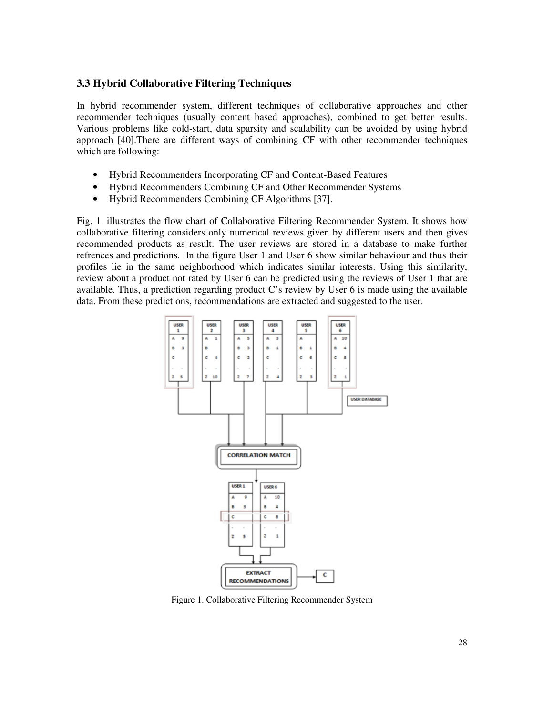#### **3.3 Hybrid Collaborative Filtering Techniques**

In hybrid recommender system, different techniques of collaborative approaches and other recommender techniques (usually content based approaches), combined to get better results. Various problems like cold-start, data sparsity and scalability can be avoided by using hybrid approach [40].There are different ways of combining CF with other recommender techniques which are following:

- Hybrid Recommenders Incorporating CF and Content-Based Features
- Hybrid Recommenders Combining CF and Other Recommender Systems
- Hybrid Recommenders Combining CF Algorithms [37].

Fig. 1. illustrates the flow chart of Collaborative Filtering Recommender System. It shows how collaborative filtering considers only numerical reviews given by different users and then gives recommended products as result. The user reviews are stored in a database to make further refrences and predictions. In the figure User 1 and User 6 show similar behaviour and thus their profiles lie in the same neighborhood which indicates similar interests. Using this similarity, review about a product not rated by User 6 can be predicted using the reviews of User 1 that are available. Thus, a prediction regarding product C's review by User 6 is made using the available data. From these predictions, recommendations are extracted and suggested to the user.



Figure 1. Collaborative Filtering Recommender System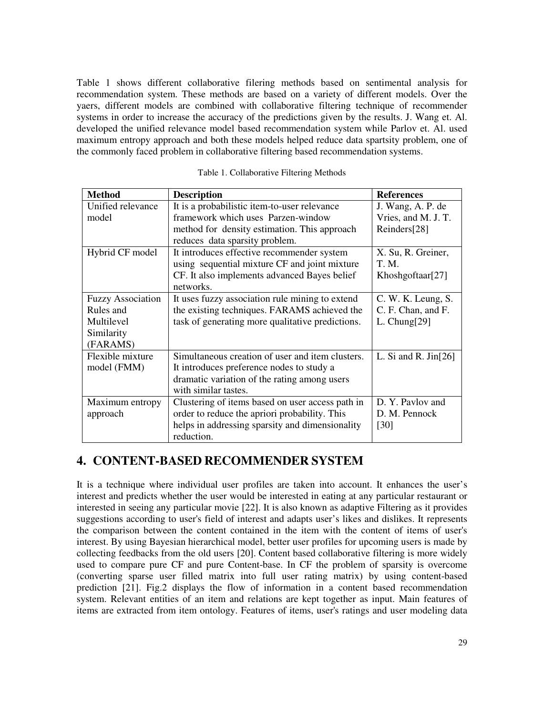Table 1 shows different collaborative filering methods based on sentimental analysis for recommendation system. These methods are based on a variety of different models. Over the yaers, different models are combined with collaborative filtering technique of recommender systems in order to increase the accuracy of the predictions given by the results. J. Wang et. Al. developed the unified relevance model based recommendation system while Parlov et. Al. used maximum entropy approach and both these models helped reduce data spartsity problem, one of the commonly faced problem in collaborative filtering based recommendation systems.

| <b>Method</b>            | <b>Description</b>                                                             | <b>References</b>       |
|--------------------------|--------------------------------------------------------------------------------|-------------------------|
| Unified relevance        | It is a probabilistic item-to-user relevance                                   | J. Wang, A. P. de       |
| model                    | framework which uses Parzen-window                                             | Vries, and M. J. T.     |
|                          | method for density estimation. This approach<br>reduces data sparsity problem. | Reinders[28]            |
| Hybrid CF model          | It introduces effective recommender system                                     | X. Su, R. Greiner,      |
|                          | using sequential mixture CF and joint mixture                                  | T. M.                   |
|                          | CF. It also implements advanced Bayes belief<br>networks.                      | Khoshgoftaar[27]        |
| <b>Fuzzy Association</b> | It uses fuzzy association rule mining to extend                                | C. W. K. Leung, S.      |
| Rules and                | the existing techniques. FARAMS achieved the                                   | C. F. Chan, and F.      |
| Multilevel               | task of generating more qualitative predictions.                               | L. Chung $[29]$         |
| Similarity               |                                                                                |                         |
| (FARAMS)                 |                                                                                |                         |
| Flexible mixture         | Simultaneous creation of user and item clusters.                               | L. Si and R. Jin $[26]$ |
| model (FMM)              | It introduces preference nodes to study a                                      |                         |
|                          | dramatic variation of the rating among users                                   |                         |
|                          | with similar tastes.                                                           |                         |
| Maximum entropy          | Clustering of items based on user access path in                               | D. Y. Paylov and        |
| approach                 | order to reduce the apriori probability. This                                  | D. M. Pennock           |
|                          | helps in addressing sparsity and dimensionality                                | [30]                    |
|                          | reduction.                                                                     |                         |

Table 1. Collaborative Filtering Methods

# **4. CONTENT-BASED RECOMMENDER SYSTEM**

It is a technique where individual user profiles are taken into account. It enhances the user's interest and predicts whether the user would be interested in eating at any particular restaurant or interested in seeing any particular movie [22]. It is also known as adaptive Filtering as it provides suggestions according to user's field of interest and adapts user's likes and dislikes. It represents the comparison between the content contained in the item with the content of items of user's interest. By using Bayesian hierarchical model, better user profiles for upcoming users is made by collecting feedbacks from the old users [20]. Content based collaborative filtering is more widely used to compare pure CF and pure Content-base. In CF the problem of sparsity is overcome (converting sparse user filled matrix into full user rating matrix) by using content-based prediction [21]. Fig.2 displays the flow of information in a content based recommendation system. Relevant entities of an item and relations are kept together as input. Main features of items are extracted from item ontology. Features of items, user's ratings and user modeling data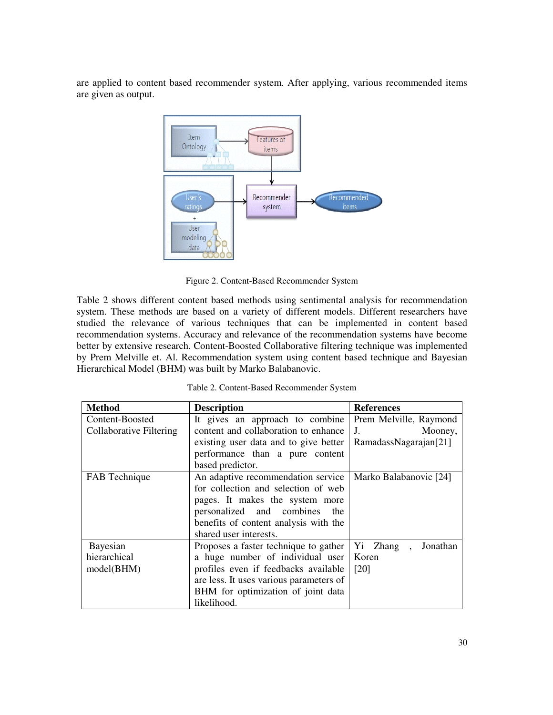are applied to content based recommender system. After applying, various recommended items are given as output.



Figure 2. Content-Based Recommender System

Table 2 shows different content based methods using sentimental analysis for recommendation system. These methods are based on a variety of different models. Different researchers have studied the relevance of various techniques that can be implemented in content based recommendation systems. Accuracy and relevance of the recommendation systems have become better by extensive research. Content-Boosted Collaborative filtering technique was implemented by Prem Melville et. Al. Recommendation system using content based technique and Bayesian Hierarchical Model (BHM) was built by Marko Balabanovic.

|  | Table 2. Content-Based Recommender System |  |  |
|--|-------------------------------------------|--|--|
|--|-------------------------------------------|--|--|

| <b>Method</b>           | <b>Description</b>                      | <b>References</b>                            |
|-------------------------|-----------------------------------------|----------------------------------------------|
| Content-Boosted         | It gives an approach to combine         | Prem Melville, Raymond                       |
| Collaborative Filtering | content and collaboration to enhance    | Mooney,<br>J.                                |
|                         | existing user data and to give better   | RamadassNagarajan[21]                        |
|                         | performance than a pure content         |                                              |
|                         | based predictor.                        |                                              |
| FAB Technique           | An adaptive recommendation service      | Marko Balabanovic [24]                       |
|                         | for collection and selection of web     |                                              |
|                         | pages. It makes the system more         |                                              |
|                         | personalized and combines the           |                                              |
|                         | benefits of content analysis with the   |                                              |
|                         | shared user interests.                  |                                              |
| Bayesian                | Proposes a faster technique to gather   | Yi Zhang<br>Jonathan<br>$\ddot{\phantom{0}}$ |
| hierarchical            | a huge number of individual user        | Koren                                        |
| model(BHM)              | profiles even if feedbacks available    | [20]                                         |
|                         | are less. It uses various parameters of |                                              |
|                         | BHM for optimization of joint data      |                                              |
|                         | likelihood.                             |                                              |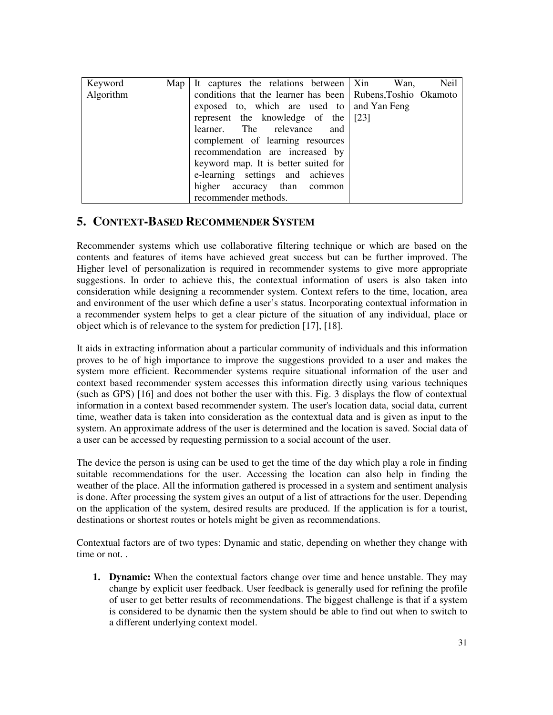| Keyword   | Map $\vert$ It captures the relations between $\vert$ Xin   | Neil<br>Wan, |
|-----------|-------------------------------------------------------------|--------------|
| Algorithm | conditions that the learner has been Rubens, Toshio Okamoto |              |
|           | exposed to, which are used to and Yan Feng                  |              |
|           | represent the knowledge of the $\lceil 23 \rceil$           |              |
|           | learner. The relevance<br>and                               |              |
|           | complement of learning resources                            |              |
|           | recommendation are increased by                             |              |
|           | keyword map. It is better suited for                        |              |
|           | e-learning settings and achieves                            |              |
|           | higher accuracy than common                                 |              |
|           | recommender methods.                                        |              |

# **5. CONTEXT-BASED RECOMMENDER SYSTEM**

Recommender systems which use collaborative filtering technique or which are based on the contents and features of items have achieved great success but can be further improved. The Higher level of personalization is required in recommender systems to give more appropriate suggestions. In order to achieve this, the contextual information of users is also taken into consideration while designing a recommender system. Context refers to the time, location, area and environment of the user which define a user's status. Incorporating contextual information in a recommender system helps to get a clear picture of the situation of any individual, place or object which is of relevance to the system for prediction [17], [18].

It aids in extracting information about a particular community of individuals and this information proves to be of high importance to improve the suggestions provided to a user and makes the system more efficient. Recommender systems require situational information of the user and context based recommender system accesses this information directly using various techniques (such as GPS) [16] and does not bother the user with this. Fig. 3 displays the flow of contextual information in a context based recommender system. The user's location data, social data, current time, weather data is taken into consideration as the contextual data and is given as input to the system. An approximate address of the user is determined and the location is saved. Social data of a user can be accessed by requesting permission to a social account of the user.

The device the person is using can be used to get the time of the day which play a role in finding suitable recommendations for the user. Accessing the location can also help in finding the weather of the place. All the information gathered is processed in a system and sentiment analysis is done. After processing the system gives an output of a list of attractions for the user. Depending on the application of the system, desired results are produced. If the application is for a tourist, destinations or shortest routes or hotels might be given as recommendations.

Contextual factors are of two types: Dynamic and static, depending on whether they change with time or not. .

**1. Dynamic:** When the contextual factors change over time and hence unstable. They may change by explicit user feedback. User feedback is generally used for refining the profile of user to get better results of recommendations. The biggest challenge is that if a system is considered to be dynamic then the system should be able to find out when to switch to a different underlying context model.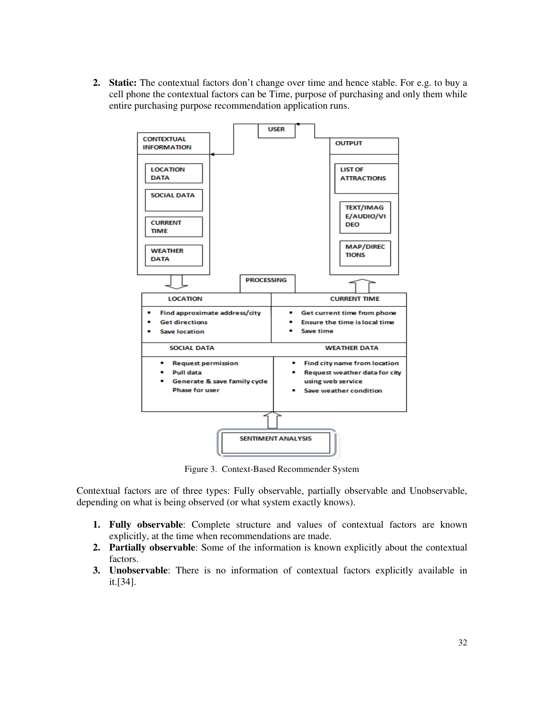**2. Static:** The contextual factors don't change over time and hence stable. For e.g. to buy a cell phone the contextual factors can be Time, purpose of purchasing and only them while entire purchasing purpose recommendation application runs.



Figure 3. Context-Based Recommender System

Contextual factors are of three types: Fully observable, partially observable and Unobservable, depending on what is being observed (or what system exactly knows).

- **1. Fully observable**: Complete structure and values of contextual factors are known explicitly, at the time when recommendations are made.
- **2. Partially observable**: Some of the information is known explicitly about the contextual factors.
- **3. Unobservable**: There is no information of contextual factors explicitly available in it.[34].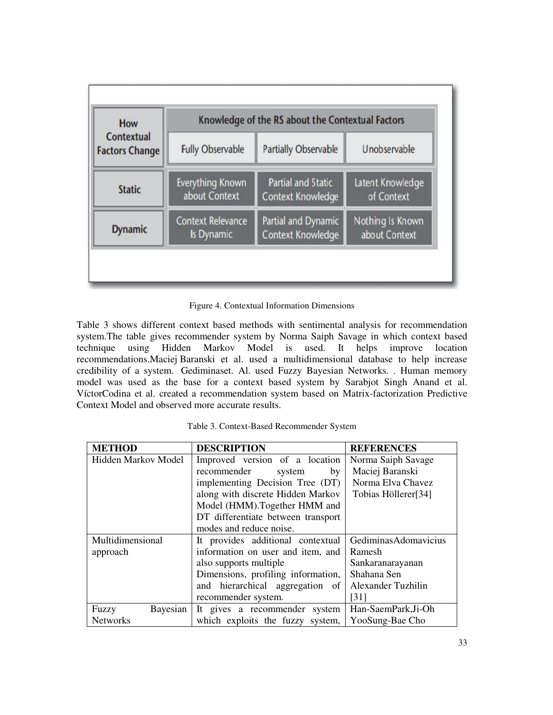| <b>How</b>                                 | Knowledge of the RS about the Contextual Factors |                             |                  |
|--------------------------------------------|--------------------------------------------------|-----------------------------|------------------|
| <b>Contextual</b><br><b>Factors Change</b> | <b>Fully Observable</b>                          | <b>Partially Observable</b> | Unobservable     |
| <b>Static</b>                              | Everything Known                                 | <b>Partial and Static</b>   | Latent Knowledge |
|                                            | about Context                                    | Context Knowledge           | of Context       |
| <b>Dynamic</b>                             | <b>Context Relevance</b>                         | Partial and Dynamic         | Nothing Is Known |
|                                            | Is Dynamic                                       | Context Knowledge           | about Context    |

Figure 4. Contextual Information Dimensions

Table 3 shows different context based methods with sentimental analysis for recommendation system. The table gives recommender system by Norma Saiph Savage in which context based<br>technique using Hidden Markov Model is used. It helps improve location technique using Hidden Markov Model is used. It helps improve location recommendations.Maciej Baranski et al. used a multidimensional database to help increase credibility of a system. Gediminaset. Al. used Fuzzy Bayesian Networks. . Human memory model was used as the base for a context based system by Sarabjot Singh Anand et al. VíctorCodina et al. created a recommendation system based on Matrix-factorization Predictive Context Model and observed more accurate results.

| <b>METHOD</b>       | <b>DESCRIPTION</b>                 | <b>REFERENCES</b>         |
|---------------------|------------------------------------|---------------------------|
| Hidden Markov Model | Improved version of a location     | Norma Saiph Savage        |
|                     | recommender<br>system<br>by        | Maciej Baranski           |
|                     | implementing Decision Tree (DT)    | Norma Elva Chavez         |
|                     | along with discrete Hidden Markov  | Tobias Höllerer[34]       |
|                     | Model (HMM).Together HMM and       |                           |
|                     | DT differentiate between transport |                           |
|                     | modes and reduce noise.            |                           |
| Multidimensional    | It provides additional contextual  | GediminasAdomavicius      |
| approach            | information on user and item, and  | Ramesh                    |
|                     | also supports multiple             | Sankaranarayanan          |
|                     | Dimensions, profiling information, | Shahana Sen               |
|                     | and hierarchical aggregation of    | <b>Alexander Tuzhilin</b> |
|                     | recommender system.                | [31]                      |
| Bayesian<br>Fuzzy   | It gives a recommender system      | Han-SaemPark, Ji-Oh       |
| <b>Networks</b>     | which exploits the fuzzy system,   | YooSung-Bae Cho           |

Table 3. Context-Based Recommender System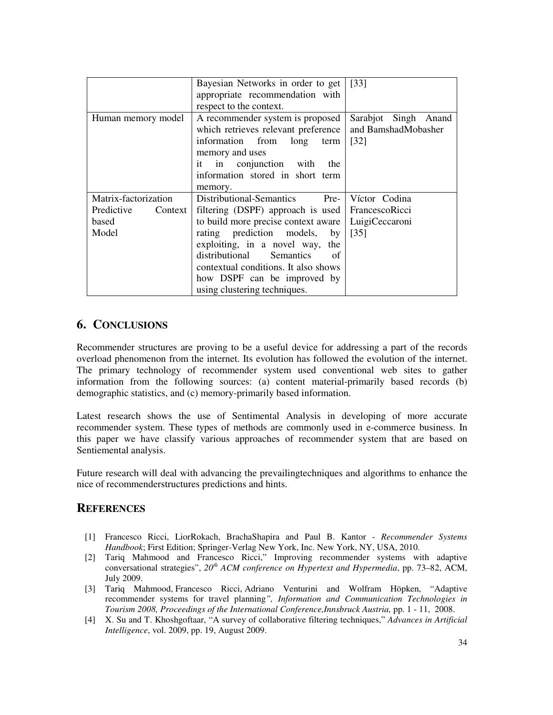|                       | Bayesian Networks in order to get<br>appropriate recommendation with<br>respect to the context.                                                                                                                   | $[33]$                                                            |
|-----------------------|-------------------------------------------------------------------------------------------------------------------------------------------------------------------------------------------------------------------|-------------------------------------------------------------------|
| Human memory model    | A recommender system is proposed<br>which retrieves relevant preference<br>information<br>from<br>long<br>term<br>memory and uses<br>it in conjunction with<br>the<br>information stored in short term<br>memory. | Sarabjot Singh Anand<br>and BamshadMobasher<br>$\lceil 32 \rceil$ |
| Matrix-factorization  | Distributional-Semantics<br>Pre-                                                                                                                                                                                  | Víctor Codina                                                     |
| Predictive<br>Context | filtering (DSPF) approach is used FrancescoRicci                                                                                                                                                                  |                                                                   |
| based                 | to build more precise context aware   LuigiCeccaroni                                                                                                                                                              |                                                                   |
| Model                 | rating prediction models,<br>by                                                                                                                                                                                   | $[35]$                                                            |
|                       | exploiting, in a novel way, the                                                                                                                                                                                   |                                                                   |
|                       | distributional Semantics<br>of                                                                                                                                                                                    |                                                                   |
|                       | contextual conditions. It also shows                                                                                                                                                                              |                                                                   |
|                       | how DSPF can be improved by                                                                                                                                                                                       |                                                                   |
|                       | using clustering techniques.                                                                                                                                                                                      |                                                                   |

# **6. CONCLUSIONS**

Recommender structures are proving to be a useful device for addressing a part of the records overload phenomenon from the internet. Its evolution has followed the evolution of the internet. The primary technology of recommender system used conventional web sites to gather information from the following sources: (a) content material-primarily based records (b) demographic statistics, and (c) memory-primarily based information.

Latest research shows the use of Sentimental Analysis in developing of more accurate recommender system. These types of methods are commonly used in e-commerce business. In this paper we have classify various approaches of recommender system that are based on Sentiemental analysis.

Future research will deal with advancing the prevailingtechniques and algorithms to enhance the nice of recommenderstructures predictions and hints.

# **REFERENCES**

- [1] Francesco Ricci, LiorRokach, BrachaShapira and Paul B. Kantor *Recommender Systems Handbook*; First Edition; Springer-Verlag New York, Inc. New York, NY, USA, 2010.
- [2] Tariq Mahmood and Francesco Ricci," Improving recommender systems with adaptive conversational strategies", *20th ACM conference on Hypertext and Hypermedia*, pp. 73–82, ACM, July 2009.
- [3] Tariq Mahmood, Francesco Ricci, Adriano Venturini and Wolfram Höpken, "Adaptive recommender systems for travel planning*", Information and Communication Technologies in Tourism 2008, Proceedings of the International Conference,Innsbruck Austria,* pp. 1 - 11, 2008.
- [4] X. Su and T. Khoshgoftaar, "A survey of collaborative filtering techniques," *Advances in Artificial Intelligence*, vol. 2009, pp. 19, August 2009.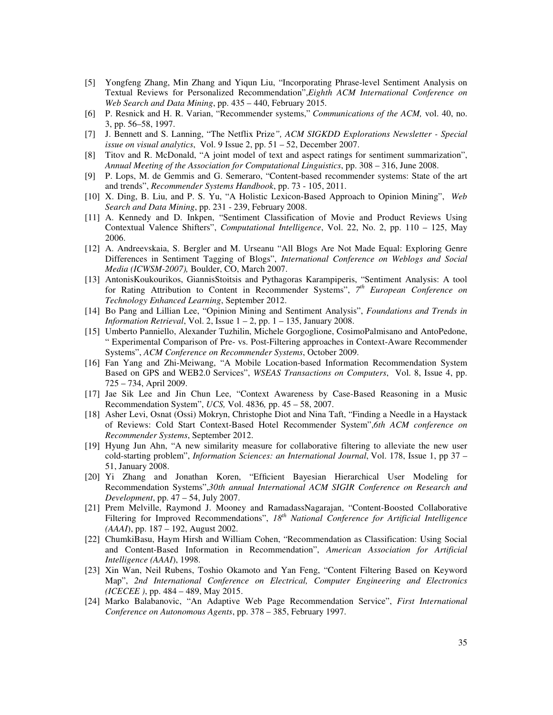- [5] Yongfeng Zhang, Min Zhang and Yiqun Liu, "Incorporating Phrase-level Sentiment Analysis on Textual Reviews for Personalized Recommendation",*Eighth ACM International Conference on Web Search and Data Mining*, pp. 435 – 440, February 2015.
- [6] P. Resnick and H. R. Varian, "Recommender systems," *Communications of the ACM,* vol. 40, no. 3, pp. 56–58, 1997.
- [7] J. Bennett and S. Lanning, "The Netflix Prize*", ACM SIGKDD Explorations Newsletter Special issue on visual analytics*, Vol. 9 Issue 2, pp. 51 – 52, December 2007.
- [8] Titov and R. McDonald, "A joint model of text and aspect ratings for sentiment summarization", *Annual Meeting of the Association for Computational Linguistics*, pp. 308 – 316, June 2008.
- [9] P. Lops, M. de Gemmis and G. Semeraro, "Content-based recommender systems: State of the art and trends", *Recommender Systems Handbook*, pp. 73 - 105, 2011.
- [10] X. Ding, B. Liu, and P. S. Yu, "A Holistic Lexicon-Based Approach to Opinion Mining", *Web Search and Data Mining*, pp. 231 - 239, February 2008.
- [11] A. Kennedy and D. Inkpen, "Sentiment Classification of Movie and Product Reviews Using Contextual Valence Shifters", *Computational Intelligence*, Vol. 22, No. 2, pp. 110 – 125, May 2006.
- [12] A. Andreevskaia, S. Bergler and M. Urseanu "All Blogs Are Not Made Equal: Exploring Genre Differences in Sentiment Tagging of Blogs", *International Conference on Weblogs and Social Media (ICWSM-2007),* Boulder, CO, March 2007.
- [13] AntonisKoukourikos, GiannisStoitsis and Pythagoras Karampiperis, "Sentiment Analysis: A tool for Rating Attribution to Content in Recommender Systems", 7<sup>th</sup> European Conference on *Technology Enhanced Learning*, September 2012.
- [14] Bo Pang and Lillian Lee, "Opinion Mining and Sentiment Analysis", *Foundations and Trends in Information Retrieval*, Vol. 2, Issue 1 – 2, pp. 1 – 135, January 2008.
- [15] Umberto Panniello, Alexander Tuzhilin, Michele Gorgoglione, CosimoPalmisano and AntoPedone, " Experimental Comparison of Pre- vs. Post-Filtering approaches in Context-Aware Recommender Systems", *ACM Conference on Recommender Systems*, October 2009.
- [16] Fan Yang and Zhi-Meiwang, "A Mobile Location-based Information Recommendation System Based on GPS and WEB2.0 Services", *WSEAS Transactions on Computers*, Vol. 8, Issue 4, pp. 725 – 734, April 2009.
- [17] Jae Sik Lee and Jin Chun Lee, "Context Awareness by Case-Based Reasoning in a Music Recommendation System", *UCS,* Vol. 4836*,* pp. 45 – 58, 2007.
- [18] Asher Levi, Osnat (Ossi) Mokryn, Christophe Diot and Nina Taft, "Finding a Needle in a Haystack of Reviews: Cold Start Context-Based Hotel Recommender System",*6th ACM conference on Recommender Systems*, September 2012.
- [19] Hyung Jun Ahn, "A new similarity measure for collaborative filtering to alleviate the new user cold-starting problem", *Information Sciences: an International Journal*, Vol. 178, Issue 1, pp 37 – 51, January 2008.
- [20] Yi Zhang and Jonathan Koren, "Efficient Bayesian Hierarchical User Modeling for Recommendation Systems",*30th annual International ACM SIGIR Conference on Research and Development*, pp. 47 – 54, July 2007.
- [21] Prem Melville, Raymond J. Mooney and RamadassNagarajan, "Content-Boosted Collaborative Filtering for Improved Recommendations", *18th National Conference for Artificial Intelligence (AAAI*), pp. 187 – 192, August 2002.
- [22] ChumkiBasu, Haym Hirsh and William Cohen, "Recommendation as Classification: Using Social and Content-Based Information in Recommendation", *American Association for Artificial Intelligence (AAAI*), 1998.
- [23] Xin Wan, Neil Rubens, Toshio Okamoto and Yan Feng, "Content Filtering Based on Keyword Map", *2nd International Conference on Electrical, Computer Engineering and Electronics (ICECEE )*, pp. 484 – 489, May 2015.
- [24] Marko Balabanovic, "An Adaptive Web Page Recommendation Service", *First International Conference on Autonomous Agents*, pp. 378 – 385, February 1997.